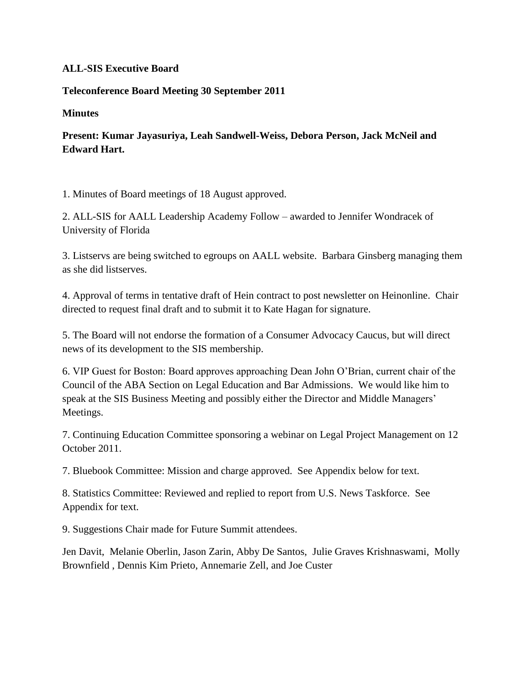## **ALL-SIS Executive Board**

## **Teleconference Board Meeting 30 September 2011**

**Minutes**

## **Present: Kumar Jayasuriya, Leah Sandwell-Weiss, Debora Person, Jack McNeil and Edward Hart.**

1. Minutes of Board meetings of 18 August approved.

2. ALL-SIS for AALL Leadership Academy Follow – awarded to Jennifer Wondracek of University of Florida

3. Listservs are being switched to egroups on AALL website. Barbara Ginsberg managing them as she did listserves.

4. Approval of terms in tentative draft of Hein contract to post newsletter on Heinonline. Chair directed to request final draft and to submit it to Kate Hagan for signature.

5. The Board will not endorse the formation of a Consumer Advocacy Caucus, but will direct news of its development to the SIS membership.

6. VIP Guest for Boston: Board approves approaching Dean John O'Brian, current chair of the Council of the ABA Section on Legal Education and Bar Admissions. We would like him to speak at the SIS Business Meeting and possibly either the Director and Middle Managers' Meetings.

7. Continuing Education Committee sponsoring a webinar on Legal Project Management on 12 October 2011.

7. Bluebook Committee: Mission and charge approved. See Appendix below for text.

8. Statistics Committee: Reviewed and replied to report from U.S. News Taskforce. See Appendix for text.

9. Suggestions Chair made for Future Summit attendees.

Jen Davit, Melanie Oberlin, Jason Zarin, Abby De Santos, Julie Graves Krishnaswami, Molly Brownfield , Dennis Kim Prieto, Annemarie Zell, and Joe Custer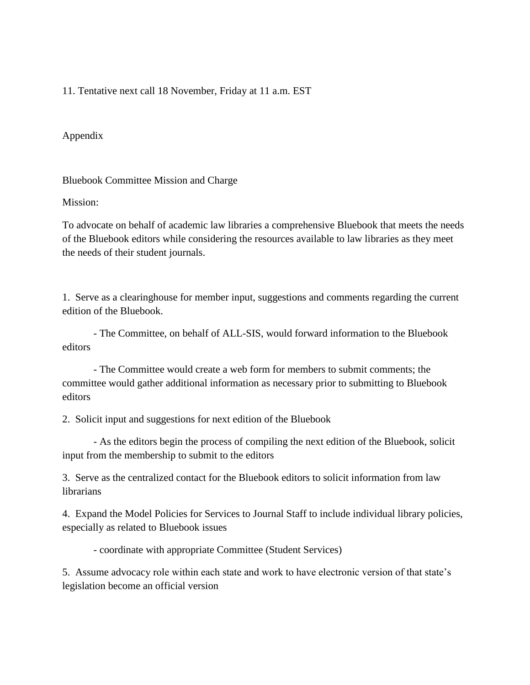11. Tentative next call 18 November, Friday at 11 a.m. EST

Appendix

Bluebook Committee Mission and Charge

Mission:

To advocate on behalf of academic law libraries a comprehensive Bluebook that meets the needs of the Bluebook editors while considering the resources available to law libraries as they meet the needs of their student journals.

1. Serve as a clearinghouse for member input, suggestions and comments regarding the current edition of the Bluebook.

- The Committee, on behalf of ALL-SIS, would forward information to the Bluebook editors

- The Committee would create a web form for members to submit comments; the committee would gather additional information as necessary prior to submitting to Bluebook editors

2. Solicit input and suggestions for next edition of the Bluebook

- As the editors begin the process of compiling the next edition of the Bluebook, solicit input from the membership to submit to the editors

3. Serve as the centralized contact for the Bluebook editors to solicit information from law librarians

4. Expand the Model Policies for Services to Journal Staff to include individual library policies, especially as related to Bluebook issues

- coordinate with appropriate Committee (Student Services)

5. Assume advocacy role within each state and work to have electronic version of that state's legislation become an official version